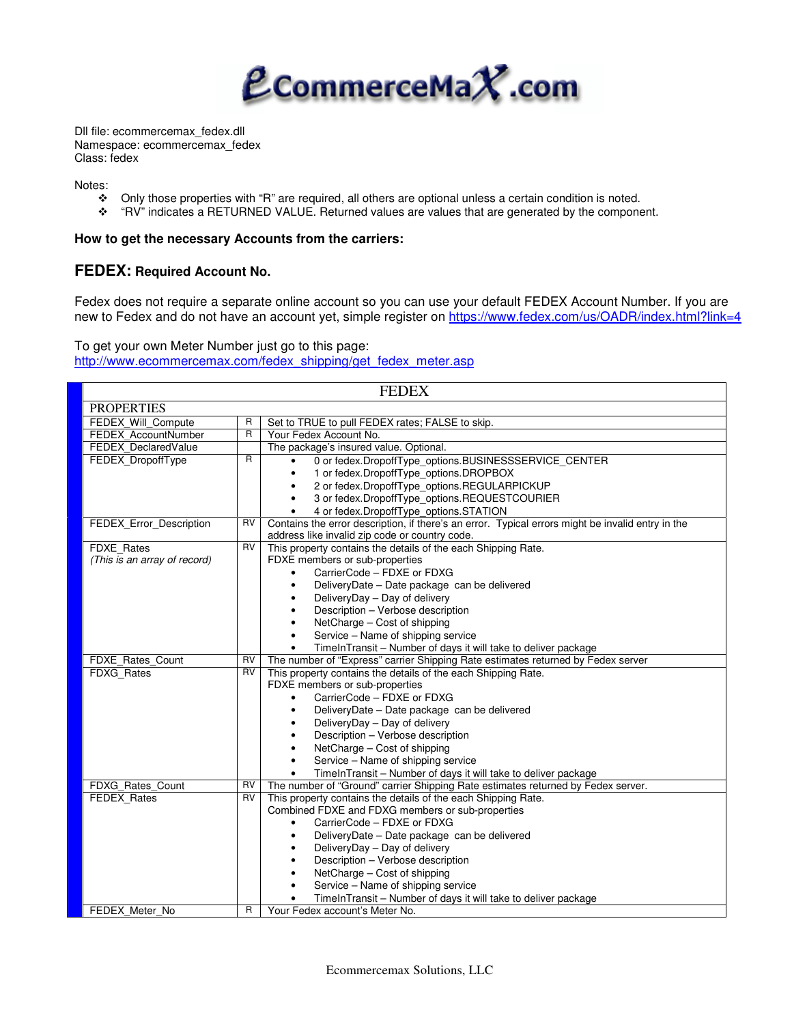

Dll file: ecommercemax\_fedex.dll Namespace: ecommercemax\_fedex Class: fedex

Notes:

- ◆ Only those properties with "R" are required, all others are optional unless a certain condition is noted.<br>◆ "RV" indicates a RETURNED VALUE. Returned values are values that are generated by the compone
- "RV" indicates a RETURNED VALUE. Returned values are values that are generated by the component.

### **How to get the necessary Accounts from the carriers:**

# **FEDEX: Required Account No.**

Fedex does not require a separate online account so you can use your default FEDEX Account Number. If you are new to Fedex and do not have an account yet, simple register on https://www.fedex.com/us/OADR/index.html?link=4

To get your own Meter Number just go to this page: http://www.ecommercemax.com/fedex\_shipping/get\_fedex\_meter.asp

| <b>FEDEX</b>                 |                |                                                                                                   |  |  |  |
|------------------------------|----------------|---------------------------------------------------------------------------------------------------|--|--|--|
| <b>PROPERTIES</b>            |                |                                                                                                   |  |  |  |
| FEDEX Will Compute           | R              | Set to TRUE to pull FEDEX rates; FALSE to skip.                                                   |  |  |  |
| FEDEX AccountNumber          | $\overline{R}$ | Your Fedex Account No.                                                                            |  |  |  |
| FEDEX DeclaredValue          |                | The package's insured value. Optional.                                                            |  |  |  |
| FEDEX_DropoffType            | R              | 0 or fedex.DropoffType_options.BUSINESSSERVICE_CENTER                                             |  |  |  |
|                              |                | 1 or fedex.DropoffType_options.DROPBOX                                                            |  |  |  |
|                              |                | 2 or fedex.DropoffType_options.REGULARPICKUP                                                      |  |  |  |
|                              |                | 3 or fedex.DropoffType_options.REQUESTCOURIER                                                     |  |  |  |
|                              |                | 4 or fedex.DropoffType_options.STATION                                                            |  |  |  |
| FEDEX_Error_Description      | RV             | Contains the error description, if there's an error. Typical errors might be invalid entry in the |  |  |  |
|                              |                | address like invalid zip code or country code.                                                    |  |  |  |
| <b>FDXE Rates</b>            | RV             | This property contains the details of the each Shipping Rate.                                     |  |  |  |
| (This is an array of record) |                | FDXE members or sub-properties                                                                    |  |  |  |
|                              |                | CarrierCode - FDXE or FDXG                                                                        |  |  |  |
|                              |                | DeliveryDate - Date package can be delivered                                                      |  |  |  |
|                              |                | DeliveryDay - Day of delivery                                                                     |  |  |  |
|                              |                | Description - Verbose description                                                                 |  |  |  |
|                              |                | NetCharge - Cost of shipping                                                                      |  |  |  |
|                              |                | Service – Name of shipping service                                                                |  |  |  |
|                              |                | TimeInTransit - Number of days it will take to deliver package                                    |  |  |  |
| FDXE Rates Count             | RV             | The number of "Express" carrier Shipping Rate estimates returned by Fedex server                  |  |  |  |
| FDXG_Rates                   | <b>RV</b>      | This property contains the details of the each Shipping Rate.                                     |  |  |  |
|                              |                | FDXE members or sub-properties                                                                    |  |  |  |
|                              |                | CarrierCode - FDXE or FDXG                                                                        |  |  |  |
|                              |                | DeliveryDate - Date package can be delivered                                                      |  |  |  |
|                              |                | DeliveryDay - Day of delivery                                                                     |  |  |  |
|                              |                | Description - Verbose description                                                                 |  |  |  |
|                              |                | NetCharge - Cost of shipping                                                                      |  |  |  |
|                              |                | Service - Name of shipping service                                                                |  |  |  |
|                              |                | TimeInTransit - Number of days it will take to deliver package                                    |  |  |  |
| FDXG Rates Count             | RV             | The number of "Ground" carrier Shipping Rate estimates returned by Fedex server.                  |  |  |  |
| <b>FEDEX Rates</b>           | RV             | This property contains the details of the each Shipping Rate.                                     |  |  |  |
|                              |                | Combined FDXE and FDXG members or sub-properties                                                  |  |  |  |
|                              |                | CarrierCode - FDXE or FDXG                                                                        |  |  |  |
|                              |                | DeliveryDate - Date package can be delivered                                                      |  |  |  |
|                              |                | DeliveryDay - Day of delivery                                                                     |  |  |  |
|                              |                | Description - Verbose description                                                                 |  |  |  |
|                              |                | NetCharge - Cost of shipping                                                                      |  |  |  |
|                              |                | Service - Name of shipping service                                                                |  |  |  |
|                              |                | TimeInTransit – Number of days it will take to deliver package                                    |  |  |  |
| FEDEX Meter No               | R              | Your Fedex account's Meter No.                                                                    |  |  |  |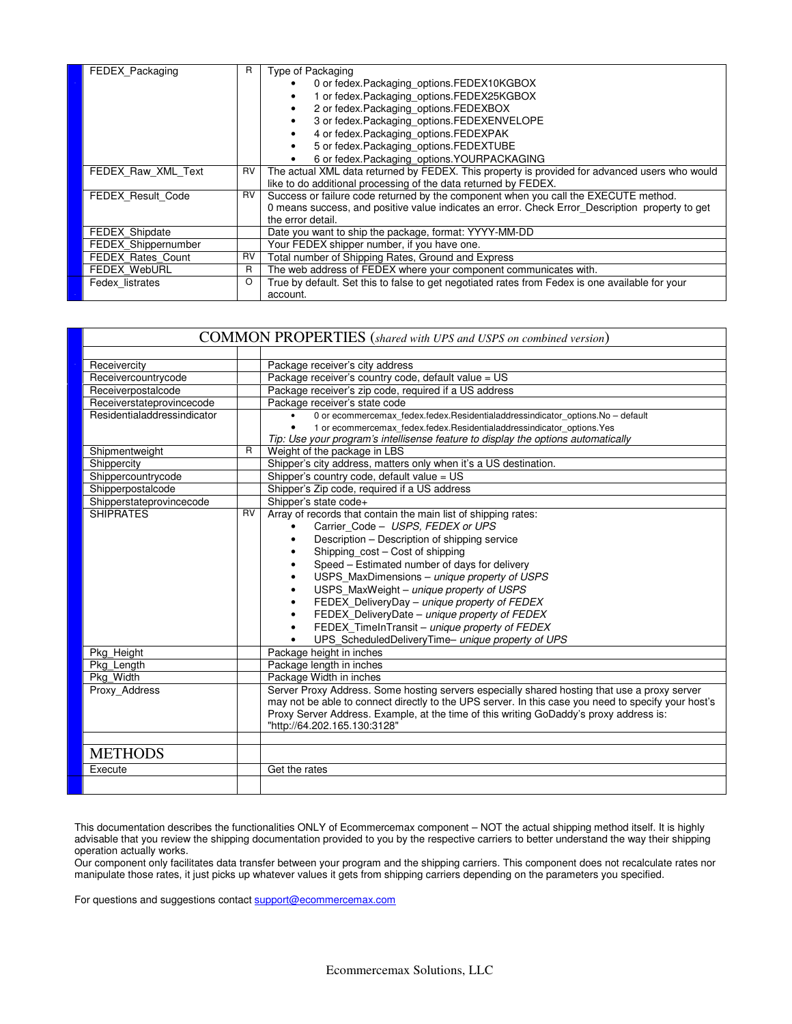| FEDEX_Packaging          | R         | Type of Packaging                                                                               |
|--------------------------|-----------|-------------------------------------------------------------------------------------------------|
|                          |           | 0 or fedex. Packaging options. FEDEX10KGBOX                                                     |
|                          |           | 1 or fedex.Packaging_options.FEDEX25KGBOX                                                       |
|                          |           | 2 or fedex.Packaging_options.FEDEXBOX                                                           |
|                          |           | 3 or fedex.Packaging_options.FEDEXENVELOPE                                                      |
|                          |           | 4 or fedex.Packaging_options.FEDEXPAK                                                           |
|                          |           | 5 or fedex.Packaging_options.FEDEXTUBE                                                          |
|                          |           | 6 or fedex.Packaging_options.YOURPACKAGING                                                      |
| FEDEX Raw XML Text       | RV        | The actual XML data returned by FEDEX. This property is provided for advanced users who would   |
|                          |           | like to do additional processing of the data returned by FEDEX.                                 |
| FEDEX_Result_Code        | RV        | Success or failure code returned by the component when you call the EXECUTE method.             |
|                          |           | 0 means success, and positive value indicates an error. Check Error Description property to get |
|                          |           | the error detail.                                                                               |
| <b>FEDEX Shipdate</b>    |           | Date you want to ship the package, format: YYYY-MM-DD                                           |
| FEDEX Shippernumber      |           | Your FEDEX shipper number, if you have one.                                                     |
| <b>FEDEX Rates Count</b> | <b>RV</b> | Total number of Shipping Rates, Ground and Express                                              |
| <b>FEDEX WebURL</b>      | R         | The web address of FEDEX where your component communicates with.                                |
| Fedex listrates          | O         | True by default. Set this to false to get negotiated rates from Fedex is one available for your |
|                          |           | account.                                                                                        |

| <b>COMMON PROPERTIES</b> (shared with UPS and USPS on combined version) |                |                                                                                                     |  |  |
|-------------------------------------------------------------------------|----------------|-----------------------------------------------------------------------------------------------------|--|--|
|                                                                         |                |                                                                                                     |  |  |
| Receivercity                                                            |                | Package receiver's city address                                                                     |  |  |
| Receivercountrycode                                                     |                | Package receiver's country code, default value = US                                                 |  |  |
| Receiverpostalcode                                                      |                | Package receiver's zip code, required if a US address                                               |  |  |
| Receiverstateprovincecode                                               |                | Package receiver's state code                                                                       |  |  |
| Residentialaddressindicator                                             |                | 0 or ecommercemax_fedex.fedex.Residentialaddressindicator_options.No - default<br>$\bullet$         |  |  |
|                                                                         |                | 1 or ecommercemax fedex.fedex.Residentialaddressindicator options.Yes<br>$\bullet$                  |  |  |
|                                                                         |                | Tip: Use your program's intellisense feature to display the options automatically                   |  |  |
| Shipmentweight                                                          | $\overline{R}$ | Weight of the package in LBS                                                                        |  |  |
| Shippercity                                                             |                | Shipper's city address, matters only when it's a US destination.                                    |  |  |
| Shippercountrycode                                                      |                | Shipper's country code, default value = US                                                          |  |  |
| Shipperpostalcode                                                       |                | Shipper's Zip code, required if a US address                                                        |  |  |
| Shipperstateprovincecode                                                |                | Shipper's state code+                                                                               |  |  |
| <b>SHIPRATES</b>                                                        | RV             | Array of records that contain the main list of shipping rates:                                      |  |  |
|                                                                         |                | Carrier Code - USPS, FEDEX or UPS                                                                   |  |  |
|                                                                         |                | Description - Description of shipping service<br>$\bullet$                                          |  |  |
|                                                                         |                | Shipping_cost - Cost of shipping<br>$\bullet$                                                       |  |  |
|                                                                         |                | Speed - Estimated number of days for delivery<br>$\bullet$                                          |  |  |
|                                                                         |                | USPS_MaxDimensions - unique property of USPS<br>$\bullet$                                           |  |  |
|                                                                         |                | USPS_MaxWeight - unique property of USPS<br>$\bullet$                                               |  |  |
|                                                                         |                | FEDEX_DeliveryDay - unique property of FEDEX<br>$\bullet$                                           |  |  |
|                                                                         |                | FEDEX_DeliveryDate - unique property of FEDEX<br>$\bullet$                                          |  |  |
|                                                                         |                | FEDEX_TimeInTransit - unique property of FEDEX<br>$\bullet$                                         |  |  |
|                                                                         |                | UPS_ScheduledDeliveryTime- unique property of UPS                                                   |  |  |
| Pkg Height                                                              |                | Package height in inches                                                                            |  |  |
| Pkg Length                                                              |                | Package length in inches                                                                            |  |  |
| Pkg Width                                                               |                | Package Width in inches                                                                             |  |  |
| Proxy Address                                                           |                | Server Proxy Address. Some hosting servers especially shared hosting that use a proxy server        |  |  |
|                                                                         |                | may not be able to connect directly to the UPS server. In this case you need to specify your host's |  |  |
|                                                                         |                | Proxy Server Address. Example, at the time of this writing GoDaddy's proxy address is:              |  |  |
|                                                                         |                | "http://64.202.165.130:3128"                                                                        |  |  |
|                                                                         |                |                                                                                                     |  |  |
| <b>METHODS</b>                                                          |                |                                                                                                     |  |  |
| Execute                                                                 |                | Get the rates                                                                                       |  |  |
|                                                                         |                |                                                                                                     |  |  |

This documentation describes the functionalities ONLY of Ecommercemax component – NOT the actual shipping method itself. It is highly advisable that you review the shipping documentation provided to you by the respective carriers to better understand the way their shipping operation actually works.

Our component only facilitates data transfer between your program and the shipping carriers. This component does not recalculate rates nor manipulate those rates, it just picks up whatever values it gets from shipping carriers depending on the parameters you specified.

For questions and suggestions contact support@ecommercemax.com